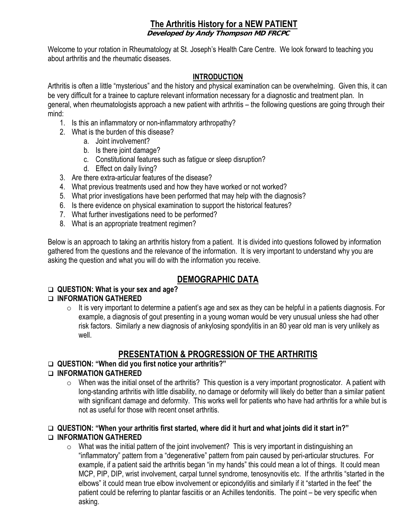# **The Arthritis History for a NEW PATIENT**

**Developed by Andy Thompson MD FRCPC** 

Welcome to your rotation in Rheumatology at St. Joseph's Health Care Centre. We look forward to teaching you about arthritis and the rheumatic diseases.

#### **INTRODUCTION**

Arthritis is often a little "mysterious" and the history and physical examination can be overwhelming. Given this, it can be very difficult for a trainee to capture relevant information necessary for a diagnostic and treatment plan. In general, when rheumatologists approach a new patient with arthritis – the following questions are going through their mind:

- 1. Is this an inflammatory or non-inflammatory arthropathy?
- 2. What is the burden of this disease?
	- a. Joint involvement?
	- b. Is there joint damage?
	- c. Constitutional features such as fatigue or sleep disruption?
	- d. Effect on daily living?
- 3. Are there extra-articular features of the disease?
- 4. What previous treatments used and how they have worked or not worked?
- 5. What prior investigations have been performed that may help with the diagnosis?
- 6. Is there evidence on physical examination to support the historical features?
- 7. What further investigations need to be performed?
- 8. What is an appropriate treatment regimen?

Below is an approach to taking an arthritis history from a patient. It is divided into questions followed by information gathered from the questions and the relevance of the information. It is very important to understand why you are asking the question and what you will do with the information you receive.

# **DEMOGRAPHIC DATA**

### **QUESTION: What is your sex and age?**

### **INFORMATION GATHERED**

 $\circ$  It is very important to determine a patient's age and sex as they can be helpful in a patients diagnosis. For example, a diagnosis of gout presenting in a young woman would be very unusual unless she had other risk factors. Similarly a new diagnosis of ankylosing spondylitis in an 80 year old man is very unlikely as well.

# **PRESENTATION & PROGRESSION OF THE ARTHRITIS**

## **QUESTION: "When did you first notice your arthritis?"**

### **INFORMATION GATHERED**

 $\circ$  When was the initial onset of the arthritis? This question is a very important prognosticator. A patient with long-standing arthritis with little disability, no damage or deformity will likely do better than a similar patient with significant damage and deformity. This works well for patients who have had arthritis for a while but is not as useful for those with recent onset arthritis.

#### **QUESTION: "When your arthritis first started, where did it hurt and what joints did it start in?" INFORMATION GATHERED**

 $\circ$  What was the initial pattern of the joint involvement? This is very important in distinguishing an "inflammatory" pattern from a "degenerative" pattern from pain caused by peri-articular structures. For example, if a patient said the arthritis began "in my hands" this could mean a lot of things. It could mean MCP, PIP, DIP, wrist involvement, carpal tunnel syndrome, tenosynovitis etc. If the arthritis "started in the elbows" it could mean true elbow involvement or epicondylitis and similarly if it "started in the feet" the patient could be referring to plantar fasciitis or an Achilles tendonitis. The point – be very specific when asking.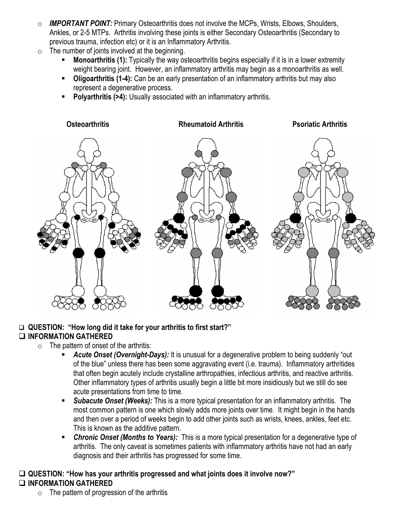- o *IMPORTANT POINT:* Primary Osteoarthritis does not involve the MCPs, Wrists, Elbows, Shoulders, Ankles, or 2-5 MTPs. Arthritis involving these joints is either Secondary Osteoarthritis (Secondary to previous trauma, infection etc) or it is an Inflammatory Arthritis.
- $\circ$  The number of joints involved at the beginning.
	- **Monoarthritis (1):** Typically the way osteoarthritis begins especially if it is in a lower extremity weight bearing joint. However, an inflammatory arthritis may begin as a monoarthritis as well.
	- **Oligoarthritis (1-4):** Can be an early presentation of an inflammatory arthritis but may also represent a degenerative process.
	- **Polyarthritis (>4):** Usually associated with an inflammatory arthritis.



### **QUESTION: "How long did it take for your arthritis to first start?" INFORMATION GATHERED**

- $\circ$  The pattern of onset of the arthritis:
	- **Acute Onset (Overnight-Days):** It is unusual for a degenerative problem to being suddenly "out of the blue" unless there has been some aggravating event (i.e. trauma). Inflammatory arthritides that often begin acutely include crystalline arthropathies, infectious arthritis, and reactive arthritis. Other inflammatory types of arthritis usually begin a little bit more insidiously but we still do see acute presentations from time to time.
	- *Subacute Onset (Weeks):* This is a more typical presentation for an inflammatory arthritis. The most common pattern is one which slowly adds more joints over time. It might begin in the hands and then over a period of weeks begin to add other joints such as wrists, knees, ankles, feet etc. This is known as the additive pattern.
	- *Chronic Onset (Months to Years):* This is a more typical presentation for a degenerative type of arthritis. The only caveat is sometimes patients with inflammatory arthritis have not had an early diagnosis and their arthritis has progressed for some time.

# **QUESTION: "How has your arthritis progressed and what joints does it involve now?" INFORMATION GATHERED**

 $\circ$  The pattern of progression of the arthritis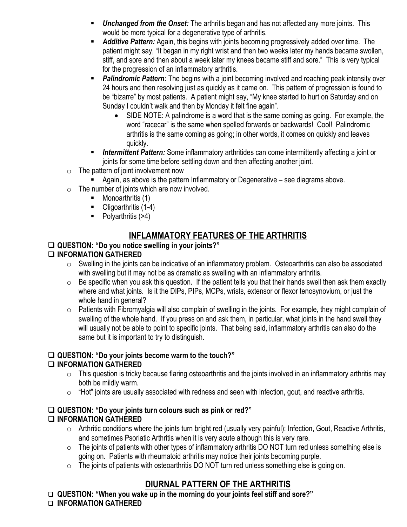- *Unchanged from the Onset:* The arthritis began and has not affected any more joints. This would be more typical for a degenerative type of arthritis.
- *Additive Pattern:* Again, this begins with joints becoming progressively added over time. The patient might say, "It began in my right wrist and then two weeks later my hands became swollen, stiff, and sore and then about a week later my knees became stiff and sore." This is very typical for the progression of an inflammatory arthritis.
- **Palindromic Pattern:** The begins with a joint becoming involved and reaching peak intensity over 24 hours and then resolving just as quickly as it came on. This pattern of progression is found to be "bizarre" by most patients. A patient might say, "My knee started to hurt on Saturday and on Sunday I couldn't walk and then by Monday it felt fine again".
	- SIDE NOTE: A palindrome is a word that is the same coming as going. For example, the word "racecar" is the same when spelled forwards or backwards! Cool! Palindromic arthritis is the same coming as going; in other words, it comes on quickly and leaves quickly.
- *Intermittent Pattern:* Some inflammatory arthritides can come intermittently affecting a joint or joints for some time before settling down and then affecting another joint.
- $\circ$  The pattern of joint involvement now
	- Again, as above is the pattern Inflammatory or Degenerative see diagrams above.
- $\circ$  The number of joints which are now involved.
	- $\blacksquare$  Monoarthritis (1)
	- Oligoarthritis (1-4)
	- $\blacksquare$  Polyarthritis (>4)

# **INFLAMMATORY FEATURES OF THE ARTHRITIS**

## **QUESTION: "Do you notice swelling in your joints?"**

# **INFORMATION GATHERED**

- o Swelling in the joints can be indicative of an inflammatory problem. Osteoarthritis can also be associated with swelling but it may not be as dramatic as swelling with an inflammatory arthritis.
- $\circ$  Be specific when you ask this question. If the patient tells you that their hands swell then ask them exactly where and what joints. Is it the DIPs, PIPs, MCPs, wrists, extensor or flexor tenosynovium, or just the whole hand in general?
- $\circ$  Patients with Fibromyalgia will also complain of swelling in the joints. For example, they might complain of swelling of the whole hand. If you press on and ask them, in particular, what joints in the hand swell they will usually not be able to point to specific joints. That being said, inflammatory arthritis can also do the same but it is important to try to distinguish.

# **QUESTION: "Do your joints become warm to the touch?"**

# **INFORMATION GATHERED**

- o This question is tricky because flaring osteoarthritis and the joints involved in an inflammatory arthritis may both be mildly warm.
- $\circ$  "Hot" joints are usually associated with redness and seen with infection, gout, and reactive arthritis.

#### **QUESTION: "Do your joints turn colours such as pink or red?" INFORMATION GATHERED**

- $\circ$  Arthritic conditions where the joints turn bright red (usually very painful): Infection, Gout, Reactive Arthritis, and sometimes Psoriatic Arthritis when it is very acute although this is very rare.
- o The joints of patients with other types of inflammatory arthritis DO NOT turn red unless something else is going on. Patients with rheumatoid arthritis may notice their joints becoming purple.
- $\circ$  The joints of patients with osteoarthritis DO NOT turn red unless something else is going on.

# **DIURNAL PATTERN OF THE ARTHRITIS**

**QUESTION: "When you wake up in the morning do your joints feel stiff and sore?"** 

#### **INFORMATION GATHERED**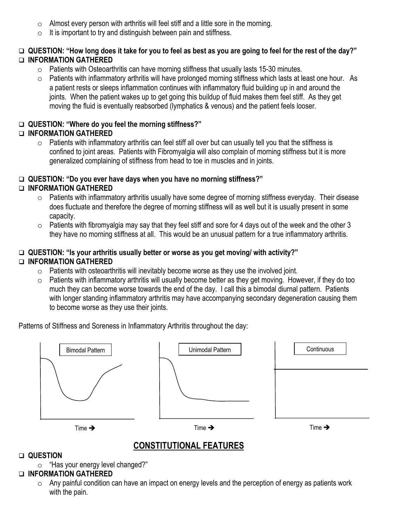- $\circ$  Almost every person with arthritis will feel stiff and a little sore in the morning.
- $\circ$  It is important to try and distinguish between pain and stiffness.

### **QUESTION: "How long does it take for you to feel as best as you are going to feel for the rest of the day?" INFORMATION GATHERED**

- o Patients with Osteoarthritis can have morning stiffness that usually lasts 15-30 minutes.
- o Patients with inflammatory arthritis will have prolonged morning stiffness which lasts at least one hour. As a patient rests or sleeps inflammation continues with inflammatory fluid building up in and around the joints. When the patient wakes up to get going this buildup of fluid makes them feel stiff. As they get moving the fluid is eventually reabsorbed (lymphatics & venous) and the patient feels looser.

## **QUESTION: "Where do you feel the morning stiffness?"**

## **INFORMATION GATHERED**

 $\circ$  Patients with inflammatory arthritis can feel stiff all over but can usually tell you that the stiffness is confined to joint areas. Patients with Fibromyalgia will also complain of morning stiffness but it is more generalized complaining of stiffness from head to toe in muscles and in joints.

### **QUESTION: "Do you ever have days when you have no morning stiffness?"**

### **INFORMATION GATHERED**

- o Patients with inflammatory arthritis usually have some degree of morning stiffness everyday. Their disease does fluctuate and therefore the degree of morning stiffness will as well but it is usually present in some capacity.
- $\circ$  Patients with fibromyalgia may say that they feel stiff and sore for 4 days out of the week and the other 3 they have no morning stiffness at all. This would be an unusual pattern for a true inflammatory arthritis.

#### **QUESTION: "Is your arthritis usually better or worse as you get moving/ with activity?" INFORMATION GATHERED**

- $\circ$  Patients with osteoarthritis will inevitably become worse as they use the involved joint.
- o Patients with inflammatory arthritis will usually become better as they get moving. However, if they do too much they can become worse towards the end of the day. I call this a bimodal diurnal pattern. Patients with longer standing inflammatory arthritis may have accompanying secondary degeneration causing them to become worse as they use their joints.

Patterns of Stiffness and Soreness in Inflammatory Arthritis throughout the day:



# **CONSTITUTIONAL FEATURES**

### **QUESTION**

o "Has your energy level changed?"

### **INFORMATION GATHERED**

 $\circ$  Any painful condition can have an impact on energy levels and the perception of energy as patients work with the pain.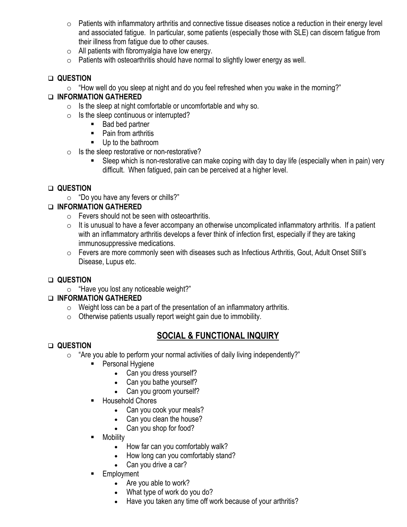- o Patients with inflammatory arthritis and connective tissue diseases notice a reduction in their energy level and associated fatigue. In particular, some patients (especially those with SLE) can discern fatigue from their illness from fatigue due to other causes.
- o All patients with fibromyalgia have low energy.
- $\circ$  Patients with osteoarthritis should have normal to slightly lower energy as well.

## **QUESTION**

o "How well do you sleep at night and do you feel refreshed when you wake in the morning?"

## **INFORMATION GATHERED**

- o Is the sleep at night comfortable or uncomfortable and why so.
- $\circ$  Is the sleep continuous or interrupted?
	- **Bad bed partner**
	- Pain from arthritis
	- **Up to the bathroom**
- $\circ$  Is the sleep restorative or non-restorative?
	- Sleep which is non-restorative can make coping with day to day life (especially when in pain) very difficult. When fatigued, pain can be perceived at a higher level.

# **QUESTION**

o "Do you have any fevers or chills?"

## **INFORMATION GATHERED**

- $\circ$  Fevers should not be seen with osteoarthritis.
- $\circ$  It is unusual to have a fever accompany an otherwise uncomplicated inflammatory arthritis. If a patient with an inflammatory arthritis develops a fever think of infection first, especially if they are taking immunosuppressive medications.
- o Fevers are more commonly seen with diseases such as Infectious Arthritis, Gout, Adult Onset Still's Disease, Lupus etc.

# **QUESTION**

o "Have you lost any noticeable weight?"

# **INFORMATION GATHERED**

- $\circ$  Weight loss can be a part of the presentation of an inflammatory arthritis.
- $\circ$  Otherwise patients usually report weight gain due to immobility.

# **SOCIAL & FUNCTIONAL INQUIRY**

### **QUESTION**

- $\circ$  "Are you able to perform your normal activities of daily living independently?"
	- **Personal Hygiene** 
		- Can you dress yourself?
		- Can you bathe yourself?
		- Can you groom yourself?
	- **Household Chores** 
		- Can you cook your meals?
		- Can you clean the house?
		- Can you shop for food?
	- Mobility
		- How far can you comfortably walk?
		- How long can you comfortably stand?
		- Can you drive a car?
	- **Employment** 
		- Are you able to work?
		- What type of work do you do?
		- Have you taken any time off work because of your arthritis?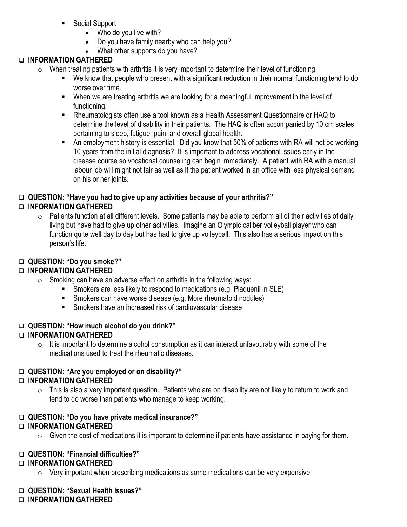- Social Support
	- Who do you live with?
	- Do you have family nearby who can help you?
	- What other supports do you have?

# **INFORMATION GATHERED**

- o When treating patients with arthritis it is very important to determine their level of functioning.
	- We know that people who present with a significant reduction in their normal functioning tend to do worse over time.
	- When we are treating arthritis we are looking for a meaningful improvement in the level of functioning.
	- Rheumatologists often use a tool known as a Health Assessment Questionnaire or HAQ to determine the level of disability in their patients. The HAQ is often accompanied by 10 cm scales pertaining to sleep, fatigue, pain, and overall global health.
	- An employment history is essential. Did you know that 50% of patients with RA will not be working 10 years from the initial diagnosis? It is important to address vocational issues early in the disease course so vocational counseling can begin immediately. A patient with RA with a manual labour job will might not fair as well as if the patient worked in an office with less physical demand on his or her joints.

#### **QUESTION: "Have you had to give up any activities because of your arthritis?" INFORMATION GATHERED**

 $\circ$  Patients function at all different levels. Some patients may be able to perform all of their activities of daily living but have had to give up other activities. Imagine an Olympic caliber volleyball player who can function quite well day to day but has had to give up volleyball. This also has a serious impact on this person's life.

## **QUESTION: "Do you smoke?"**

# **INFORMATION GATHERED**

- $\circ$  Smoking can have an adverse effect on arthritis in the following ways:
	- Smokers are less likely to respond to medications (e.g. Plaquenil in SLE)
	- **Smokers can have worse disease (e.g. More rheumatoid nodules)**
	- **Smokers have an increased risk of cardiovascular disease**

### **QUESTION: "How much alcohol do you drink?"**

# **INFORMATION GATHERED**

 $\circ$  It is important to determine alcohol consumption as it can interact unfavourably with some of the medications used to treat the rheumatic diseases.

# **QUESTION: "Are you employed or on disability?"**

# **INFORMATION GATHERED**

 $\circ$  This is also a very important question. Patients who are on disability are not likely to return to work and tend to do worse than patients who manage to keep working.

# **QUESTION: "Do you have private medical insurance?"**

# **INFORMATION GATHERED**

 $\circ$  Given the cost of medications it is important to determine if patients have assistance in paying for them.

### **QUESTION: "Financial difficulties?"**

### **INFORMATION GATHERED**

 $\circ$  Very important when prescribing medications as some medications can be very expensive

### **QUESTION: "Sexual Health Issues?"**

### **INFORMATION GATHERED**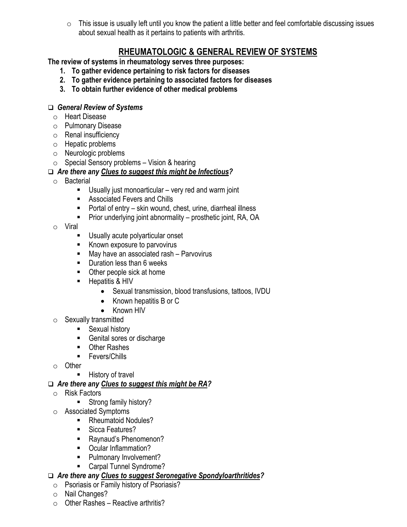o This issue is usually left until you know the patient a little better and feel comfortable discussing issues about sexual health as it pertains to patients with arthritis.

# **RHEUMATOLOGIC & GENERAL REVIEW OF SYSTEMS**

**The review of systems in rheumatology serves three purposes:** 

- **1. To gather evidence pertaining to risk factors for diseases**
- **2. To gather evidence pertaining to associated factors for diseases**
- **3. To obtain further evidence of other medical problems**

#### *General Review of Systems*

- o Heart Disease
- o Pulmonary Disease
- o Renal insufficiency
- o Hepatic problems
- o Neurologic problems
- $\circ$  Special Sensory problems Vision & hearing

### *Are there any Clues to suggest this might be Infectious?*

- o Bacterial
	- Usually just monoarticular very red and warm joint
	- Associated Fevers and Chills
	- $\blacksquare$  Portal of entry skin wound, chest, urine, diarrheal illness
	- **Prior underlying joint abnormality prosthetic joint, RA, OA**
- o Viral
	- Usually acute polyarticular onset
	- Known exposure to parvovirus
	- May have an associated rash Parvovirus
	- **Duration less than 6 weeks**
	- Other people sick at home
	- Hepatitis & HIV
		- Sexual transmission, blood transfusions, tattoos, IVDU
		- Known hepatitis B or C
		- Known HIV
- $\circ$  Sexually transmitted
	- **Sexual history**
	- Genital sores or discharge
	- **D** Other Rashes
	- **Fevers/Chills**
- o Other
	- History of travel
- *Are there any Clues to suggest this might be RA?*
- o Risk Factors
	- **Strong family history?**
- o Associated Symptoms
	- Rheumatoid Nodules?
	- Sicca Features?
	- Raynaud's Phenomenon?
	- Ocular Inflammation?
	- **Pulmonary Involvement?**
	- Carpal Tunnel Syndrome?

### *Are there any Clues to suggest Seronegative Spondyloarthritides?*

- o Psoriasis or Family history of Psoriasis?
- o Nail Changes?
- $\circ$  Other Rashes Reactive arthritis?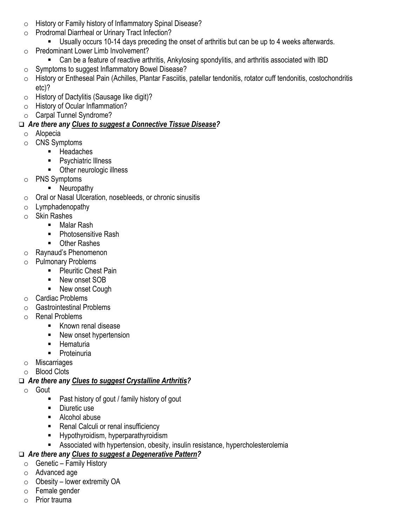- o History or Family history of Inflammatory Spinal Disease?
- o Prodromal Diarrheal or Urinary Tract Infection?
	- Usually occurs 10-14 days preceding the onset of arthritis but can be up to 4 weeks afterwards.
- o Predominant Lower Limb Involvement?
	- Can be a feature of reactive arthritis, Ankylosing spondylitis, and arthritis associated with IBD
- o Symptoms to suggest Inflammatory Bowel Disease?
- o History or Entheseal Pain (Achilles, Plantar Fasciitis, patellar tendonitis, rotator cuff tendonitis, costochondritis etc)?
- o History of Dactylitis (Sausage like digit)?
- o History of Ocular Inflammation?
- o Carpal Tunnel Syndrome?

# *Are there any Clues to suggest a Connective Tissue Disease?*

- o Alopecia
- o CNS Symptoms
	- Headaches
	- **Psychiatric Illness**
	- **•** Other neurologic illness
- o PNS Symptoms
	- Neuropathy
- o Oral or Nasal Ulceration, nosebleeds, or chronic sinusitis
- o Lymphadenopathy
- o Skin Rashes
	- Malar Rash
	- Photosensitive Rash
	- Other Rashes
- o Raynaud's Phenomenon
- o Pulmonary Problems
	- **Pleuritic Chest Pain**
	- New onset SOB
	- New onset Cough
- o Cardiac Problems
- o Gastrointestinal Problems
- o Renal Problems
	- Known renal disease
	- New onset hypertension
	- **-** Hematuria
	- **Proteinuria**
- o Miscarriages
- o Blood Clots

# *Are there any Clues to suggest Crystalline Arthritis?*

- o Gout
	- Past history of gout / family history of gout
	- Diuretic use
	- Alcohol abuse
	- **Renal Calculi or renal insufficiency**
	- **Hypothyroidism, hyperparathyroidism**
	- Associated with hypertension, obesity, insulin resistance, hypercholesterolemia

# *Are there any Clues to suggest a Degenerative Pattern?*

- $\circ$  Genetic Family History
- o Advanced age
- $\circ$  Obesity lower extremity OA
- o Female gender
- o Prior trauma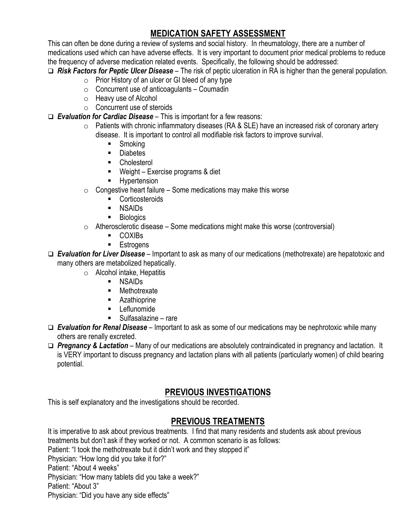# **MEDICATION SAFETY ASSESSMENT**

This can often be done during a review of systems and social history. In rheumatology, there are a number of medications used which can have adverse effects. It is very important to document prior medical problems to reduce the frequency of adverse medication related events. Specifically, the following should be addressed:

*Risk Factors for Peptic Ulcer Disease* – The risk of peptic ulceration in RA is higher than the general population.

- $\circ$  Prior History of an ulcer or GI bleed of any type
- $\circ$  Concurrent use of anticoagulants Coumadin
- o Heavy use of Alcohol
- o Concurrent use of steroids

*Evaluation for Cardiac Disease* – This is important for a few reasons:

- o Patients with chronic inflammatory diseases (RA & SLE) have an increased risk of coronary artery disease. It is important to control all modifiable risk factors to improve survival.
	- Smoking
	- **Diabetes**
	- **E** Cholesterol
	- Weight Exercise programs & diet
	- **Hypertension**
- $\circ$  Congestive heart failure Some medications may make this worse
	- **Corticosteroids**
	- NSAIDs
	- **Biologics**
- $\circ$  Atherosclerotic disease Some medications might make this worse (controversial)
	- COXIBs
	- **Estrogens**
- *Evaluation for Liver Disease* Important to ask as many of our medications (methotrexate) are hepatotoxic and many others are metabolized hepatically.
	- o Alcohol intake, Hepatitis
		- NSAIDs
		- **Methotrexate**
		- **Azathioprine**
		- **Leflunomide**
		- Sulfasalazine rare
- *Evaluation for Renal Disease* Important to ask as some of our medications may be nephrotoxic while many others are renally excreted.
- *Pregnancy & Lactation*  Many of our medications are absolutely contraindicated in pregnancy and lactation. It is VERY important to discuss pregnancy and lactation plans with all patients (particularly women) of child bearing potential.

# **PREVIOUS INVESTIGATIONS**

This is self explanatory and the investigations should be recorded.

# **PREVIOUS TREATMENTS**

It is imperative to ask about previous treatments. I find that many residents and students ask about previous treatments but don't ask if they worked or not. A common scenario is as follows: Patient: "I took the methotrexate but it didn't work and they stopped it" Physician: "How long did you take it for?" Patient: "About 4 weeks"

Physician: "How many tablets did you take a week?"

Patient: "About 3"

Physician: "Did you have any side effects"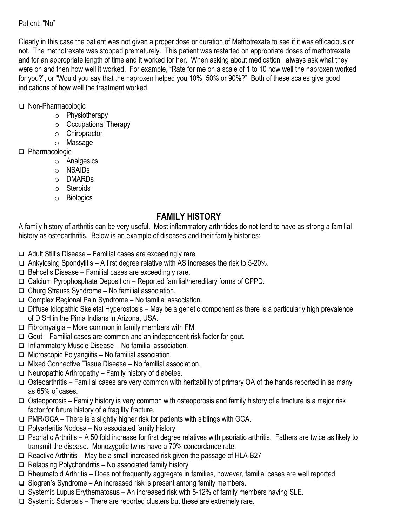### Patient: "No"

Clearly in this case the patient was not given a proper dose or duration of Methotrexate to see if it was efficacious or not. The methotrexate was stopped prematurely. This patient was restarted on appropriate doses of methotrexate and for an appropriate length of time and it worked for her. When asking about medication I always ask what they were on and then how well it worked. For example, "Rate for me on a scale of 1 to 10 how well the naproxen worked for you?", or "Would you say that the naproxen helped you 10%, 50% or 90%?" Both of these scales give good indications of how well the treatment worked.

### Non-Pharmacologic

- o Physiotherapy
- o Occupational Therapy
- o Chiropractor
- o Massage

### □ Pharmacologic

- o Analgesics
- o NSAIDs
- o DMARDs
- o Steroids
- o Biologics

# **FAMILY HISTORY**

A family history of arthritis can be very useful. Most inflammatory arthritides do not tend to have as strong a familial history as osteoarthritis. Below is an example of diseases and their family histories:

 $\Box$  Adult Still's Disease – Familial cases are exceedingly rare.

- $\Box$  Ankylosing Spondylitis A first degree relative with AS increases the risk to 5-20%.
- $\Box$  Behcet's Disease Familial cases are exceedingly rare.
- □ Calcium Pyrophosphate Deposition Reported familial/hereditary forms of CPPD.
- $\Box$  Churg Strauss Syndrome No familial association.
- $\Box$  Complex Regional Pain Syndrome No familial association.
- $\Box$  Diffuse Idiopathic Skeletal Hyperostosis May be a genetic component as there is a particularly high prevalence of DISH in the Pima Indians in Arizona, USA.
- $\Box$  Fibromyalgia More common in family members with FM.
- $\Box$  Gout Familial cases are common and an independent risk factor for gout.
- $\Box$  Inflammatory Muscle Disease No familial association.
- $\Box$  Microscopic Polyangiitis No familial association.
- $\Box$  Mixed Connective Tissue Disease No familial association.
- $\Box$  Neuropathic Arthropathy Family history of diabetes.
- $\Box$  Osteoarthritis Familial cases are very common with heritability of primary OA of the hands reported in as many as 65% of cases.
- $\Box$  Osteoporosis Family history is very common with osteoporosis and family history of a fracture is a major risk factor for future history of a fragility fracture.
- $\Box$  PMR/GCA There is a slightly higher risk for patients with siblings with GCA.
- $\Box$  Polyarteritis Nodosa No associated family history
- $\Box$  Psoriatic Arthritis A 50 fold increase for first degree relatives with psoriatic arthritis. Fathers are twice as likely to transmit the disease. Monozygotic twins have a 70% concordance rate.
- $\Box$  Reactive Arthritis May be a small increased risk given the passage of HLA-B27
- $\Box$  Relapsing Polychondritis No associated family history
- □ Rheumatoid Arthritis Does not frequently aggregate in families, however, familial cases are well reported.
- $\Box$  Sjogren's Syndrome An increased risk is present among family members.
- $\Box$  Systemic Lupus Erythematosus An increased risk with 5-12% of family members having SLE.
- $\Box$  Systemic Sclerosis There are reported clusters but these are extremely rare.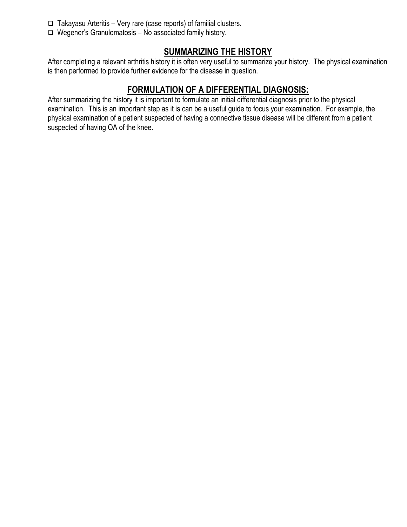- $\Box$  Takayasu Arteritis Very rare (case reports) of familial clusters.
- $\Box$  Wegener's Granulomatosis No associated family history.

# **SUMMARIZING THE HISTORY**

After completing a relevant arthritis history it is often very useful to summarize your history. The physical examination is then performed to provide further evidence for the disease in question.

# **FORMULATION OF A DIFFERENTIAL DIAGNOSIS:**

After summarizing the history it is important to formulate an initial differential diagnosis prior to the physical examination. This is an important step as it is can be a useful guide to focus your examination. For example, the physical examination of a patient suspected of having a connective tissue disease will be different from a patient suspected of having OA of the knee.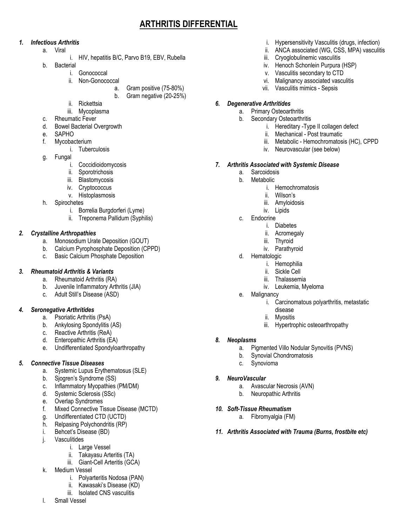# **ARTHRITIS DIFFERENTIAL**

#### *1. Infectious Arthritis*

- a. Viral
	- i. HIV, hepatitis B/C, Parvo B19, EBV, Rubella
- b. Bacterial
	- i. Gonococcal
		- ii. Non-Gonococcal
			- a. Gram positive (75-80%)
			- b. Gram negative (20-25%)
		- ii. Rickettsia
	- iii. Mycoplasma
- c. Rheumatic Fever
- d. Bowel Bacterial Overgrowth
- e. SAPHO
- f. Mycobacterium
	- i. Tuberculosis
- g. Fungal
	- i. Coccidioidomycosis
	- ii. Sporotrichosis
	- iii. Blastomycosis
	- iv. Cryptococcus
	- v. Histoplasmosis
- h. Spirochetes
	- i. Borrelia Burgdorferi (Lyme)
	- ii. Treponema Pallidum (Syphilis)

#### *2. Crystalline Arthropathies*

- a. Monosodium Urate Deposition (GOUT)
- b. Calcium Pyrophosphate Deposition (CPPD)
- c. Basic Calcium Phosphate Deposition

#### *3. Rheumatoid Arthritis & Variants*

- a. Rheumatoid Arthritis (RA)
- b. Juvenile Inflammatory Arthritis (JIA)
- c. Adult Still's Disease (ASD)

#### *4. Seronegative Arthritides*

- a. Psoriatic Arthritis (PsA)
- b. Ankylosing Spondylitis (AS)
- c. Reactive Arthritis (ReA)
- d. Enteropathic Arthritis (EA)
- e. Undifferentiated Spondyloarthropathy

#### *5. Connective Tissue Diseases*

- a. Systemic Lupus Erythematosus (SLE)
- b. Sjogren's Syndrome (SS)
- c. Inflammatory Myopathies (PM/DM)
- d. Systemic Sclerosis (SSc)
- e. Overlap Syndromes
- f. Mixed Connective Tissue Disease (MCTD)
- g. Undifferentiated CTD (UCTD)
- h. Relpasing Polychondritis (RP)
- i. Behcet's Disease (BD)
- j. Vasculitides
	- i. Large Vessel
	- ii. Takayasu Arteritis (TA)
	- iii. Giant-Cell Arteritis (GCA)
- k. Medium Vessel
	- i. Polyarteritis Nodosa (PAN)
	- ii. Kawasaki's Disease (KD)
	- iii. Isolated CNS vasculitis
- l. Small Vessel
- i. Hypersensitivity Vasculitis (drugs, infection)
- ii. ANCA associated (WG, CSS, MPA) vasculitis
- iii. Cryoglobulinemic vasculitis
- iv. Henoch Schonlein Purpura (HSP)
- v. Vasculitis secondary to CTD
- vi. Malignancy associated vasculitis
- vii. Vasculitis mimics Sepsis

#### *6. Degenerative Arthritides*

- a. Primary Osteoarthritis
- b. Secondary Osteoarthritis
	- i. Hereditary -Type II collagen defect
	- ii. Mechanical Post traumatic
	- iii. Metabolic Hemochromatosis (HC), CPPD
	- iv. Neurovascular (see below)

#### *7. Arthritis Associated with Systemic Disease*

- a. Sarcoidosis
	- b. Metabolic
		- i. Hemochromatosis
		- ii. Wilson's
		- iii. Amyloidosis
		- iv. Lipids
	- c. Endocrine
		- i. Diabetes
		- ii. Acromegaly
		- iii. Thyroid
		- iv. Parathyroid
	- d. Hematologic
		- i. Hemophilia
		- ii. Sickle Cell
		- iii. Thalassemia
		- iv. Leukemia, Myeloma
	- e. Malignancy
		- i. Carcinomatous polyarthritis, metastatic disease
		- ii. Myositis
		- iii. Hypertrophic osteoarthropathy

#### *8. Neoplasms*

a. Pigmented Villo Nodular Synovitis (PVNS)

*11. Arthritis Associated with Trauma (Burns, frostbite etc)* 

- b. Synovial Chondromatosis
- c. Synovioma

*10. Soft-Tissue Rheumatism* 

#### *9. NeuroVascular*

- a. Avascular Necrosis (AVN)
- b. Neuropathic Arthritis

a. Fibromyalgia (FM)